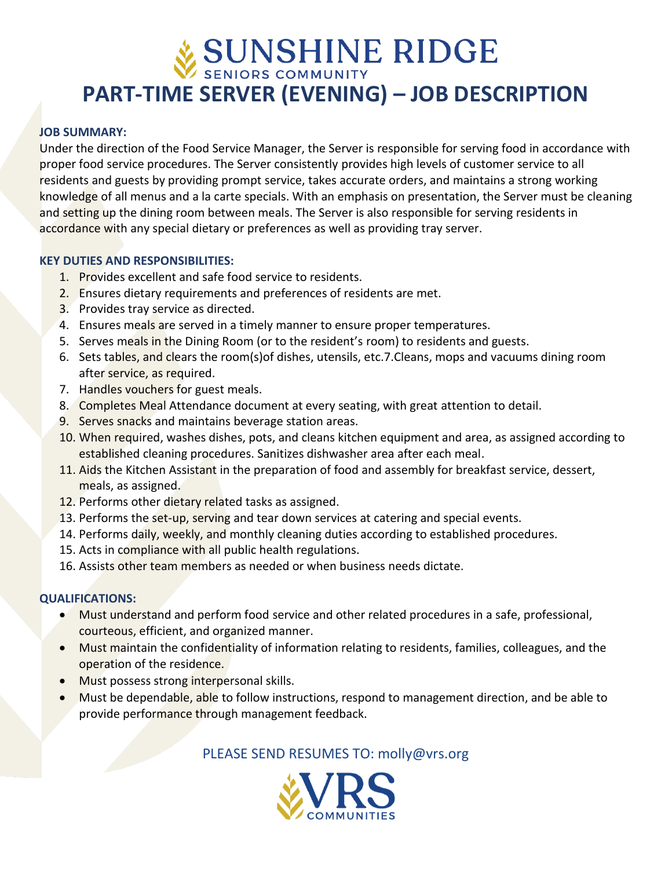# **PART-TIME SERVER (EVENING) – JOB DESCRIPTION**

#### **JOB SUMMARY:**

Under the direction of the Food Service Manager, the Server is responsible for serving food in accordance with proper food service procedures. The Server consistently provides high levels of customer service to all residents and guests by providing prompt service, takes accurate orders, and maintains a strong working knowledge of all menus and a la carte specials. With an emphasis on presentation, the Server must be cleaning and setting up the dining room between meals. The Server is also responsible for serving residents in accordance with any special dietary or preferences as well as providing tray server.

#### **KEY DUTIES AND RESPONSIBILITIES:**

- 1. Provides excellent and safe food service to residents.
- 2. Ensures dietary requirements and preferences of residents are met.
- 3. Provides tray service as directed.
- 4. Ensures meals are served in a timely manner to ensure proper temperatures.
- 5. Serves meals in the Dining Room (or to the resident's room) to residents and guests.
- 6. Sets tables, and clears the room(s)of dishes, utensils, etc.7.Cleans, mops and vacuums dining room after service, as required.
- 7. Handles vouchers for guest meals.
- 8. Completes Meal Attendance document at every seating, with great attention to detail.
- 9. Serves snacks and maintains beverage station areas.
- 10. When required, washes dishes, pots, and cleans kitchen equipment and area, as assigned according to established cleaning procedures. Sanitizes dishwasher area after each meal.
- 11. Aids the Kitchen Assistant in the preparation of food and assembly for breakfast service, dessert, meals, as assigned.
- 12. Performs other dietary related tasks as assigned.
- 13. Performs the set-up, serving and tear down services at catering and special events.
- 14. Performs daily, weekly, and monthly cleaning duties according to established procedures.
- 15. Acts in compliance with all public health regulations.
- 16. Assists other team members as needed or when business needs dictate.

### **QUALIFICATIONS:**

- Must understand and perform food service and other related procedures in a safe, professional, courteous, efficient, and organized manner.
- Must maintain the confidentiality of information relating to residents, families, colleagues, and the operation of the residence.
- Must possess strong interpersonal skills.
- Must be dependable, able to follow instructions, respond to management direction, and be able to provide performance through management feedback.

PLEASE SEND RESUMES TO: molly@vrs.org